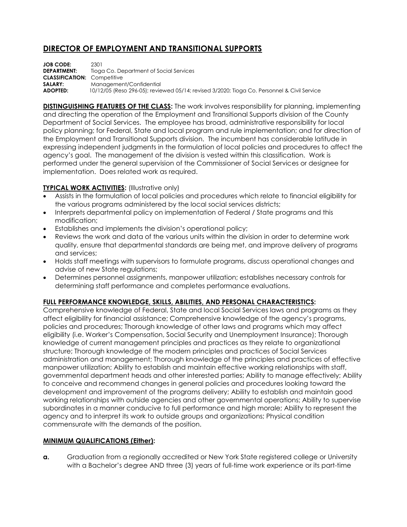## **DIRECTOR OF EMPLOYMENT AND TRANSITIONAL SUPPORTS**

**JOB CODE:** 2301<br>**DEPARTMENT:** Tiogo Tioga Co. Department of Social Services **CLASSIFICATION:** Competitive **SALARY:** Management/Confidential **ADOPTED:** 10/12/05 (Reso 296-05); reviewed 05/14; revised 3/2020; Tioga Co. Personnel & Civil Service

**DISTINGUISHING FEATURES OF THE CLASS:** The work involves responsibility for planning, implementing and directing the operation of the Employment and Transitional Supports division of the County Department of Social Services. The employee has broad, administrative responsibility for local policy planning; for Federal, State and local program and rule implementation; and for direction of the Employment and Transitional Supports division. The incumbent has considerable latitude in expressing independent judgments in the formulation of local policies and procedures to affect the agency's goal. The management of the division is vested within this classification. Work is performed under the general supervision of the Commissioner of Social Services or designee for implementation. Does related work as required.

## **TYPICAL WORK ACTIVITIES:** (Illustrative only)

- Assists in the formulation of local policies and procedures which relate to financial eligibility for the various programs administered by the local social services districts;
- Interprets departmental policy on implementation of Federal / State programs and this modification;
- Establishes and implements the division's operational policy;
- Reviews the work and data of the various units within the division in order to determine work quality, ensure that departmental standards are being met, and improve delivery of programs and services;
- Holds staff meetings with supervisors to formulate programs, discuss operational changes and advise of new State regulations;
- Determines personnel assignments, manpower utilization; establishes necessary controls for determining staff performance and completes performance evaluations.

## **FULL PERFORMANCE KNOWLEDGE, SKILLS, ABILITIES, AND PERSONAL CHARACTERISTICS:**

Comprehensive knowledge of Federal, State and local Social Services laws and programs as they affect eligibility for financial assistance; Comprehensive knowledge of the agency's programs, policies and procedures; Thorough knowledge of other laws and programs which may affect eligibility (i.e. Worker's Compensation, Social Security and Unemployment Insurance); Thorough knowledge of current management principles and practices as they relate to organizational structure; Thorough knowledge of the modern principles and practices of Social Services administration and management; Thorough knowledge of the principles and practices of effective manpower utilization; Ability to establish and maintain effective working relationships with staff, governmental department heads and other interested parties; Ability to manage effectively; Ability to conceive and recommend changes in general policies and procedures looking toward the development and improvement of the programs delivery; Ability to establish and maintain good working relationships with outside agencies and other governmental operations; Ability to supervise subordinates in a manner conducive to full performance and high morale; Ability to represent the agency and to interpret its work to outside groups and organizations; Physical condition commensurate with the demands of the position.

## **MINIMUM QUALIFICATIONS (Either):**

**a.** Graduation from a regionally accredited or New York State registered college or University with a Bachelor's degree AND three (3) years of full-time work experience or its part-time